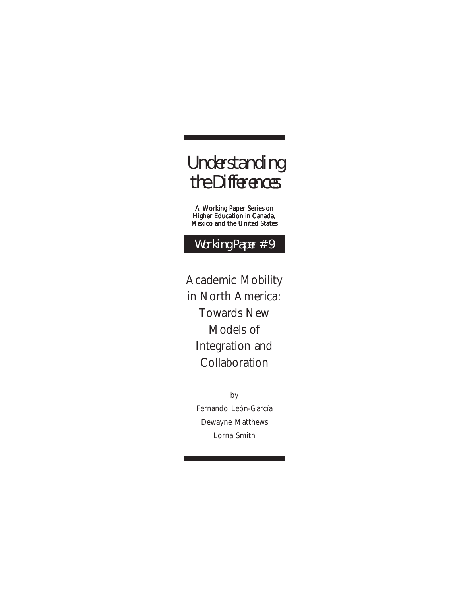## Understanding the Differences

A Working Paper Series on Higher Education in Canada, Mexico and the United States

Working Paper #9

Academic Mobility in North America: Towards New Models of Integration and Collaboration

> by Fernando León-García Dewayne Matthews Lorna Smith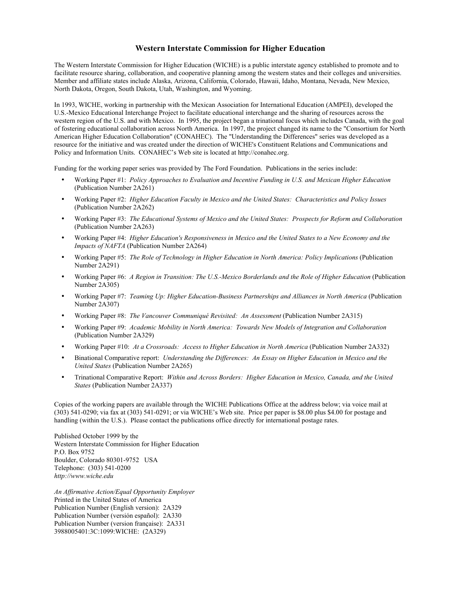#### **Western Interstate Commission for Higher Education**

The Western Interstate Commission for Higher Education (WICHE) is a public interstate agency established to promote and to facilitate resource sharing, collaboration, and cooperative planning among the western states and their colleges and universities. Member and affiliate states include Alaska, Arizona, California, Colorado, Hawaii, Idaho, Montana, Nevada, New Mexico, North Dakota, Oregon, South Dakota, Utah, Washington, and Wyoming.

In 1993, WICHE, working in partnership with the Mexican Association for International Education (AMPEI), developed the U.S.-Mexico Educational Interchange Project to facilitate educational interchange and the sharing of resources across the western region of the U.S. and with Mexico. In 1995, the project began a trinational focus which includes Canada, with the goal of fostering educational collaboration across North America. In 1997, the project changed its name to the "Consortium for North American Higher Education Collaboration" (CONAHEC). The "Understanding the Differences" series was developed as a resource for the initiative and was created under the direction of WICHE's Constituent Relations and Communications and Policy and Information Units. CONAHEC's Web site is located at http://conahec.org.

Funding for the working paper series was provided by The Ford Foundation. Publications in the series include:

- Working Paper #1: *Policy Approaches to Evaluation and Incentive Funding in U.S. and Mexican Higher Education* (Publication Number 2A261)
- Working Paper #2: *Higher Education Faculty in Mexico and the United States: Characteristics and Policy Issues* (Publication Number 2A262)
- Working Paper #3: *The Educational Systems of Mexico and the United States: Prospects for Reform and Collaboration* (Publication Number 2A263)
- Working Paper #4: *Higher Education's Responsiveness in Mexico and the United States to a New Economy and the Impacts of NAFTA* (Publication Number 2A264)
- Working Paper #5: *The Role of Technology in Higher Education in North America: Policy Implications* (Publication Number 2A291)
- Working Paper #6: *A Region in Transition: The U.S.-Mexico Borderlands and the Role of Higher Education* (Publication Number 2A305)
- Working Paper #7: *Teaming Up: Higher Education-Business Partnerships and Alliances in North America* (Publication Number 2A307)
- Working Paper #8: *The Vancouver Communiqué Revisited: An Assessment* (Publication Number 2A315)
- Working Paper #9: *Academic Mobility in North America: Towards New Models of Integration and Collaboration*  (Publication Number 2A329)
- Working Paper #10: *At a Crossroads: Access to Higher Education in North America* (Publication Number 2A332)
- Binational Comparative report: *Understanding the Differences: An Essay on Higher Education in Mexico and the United States* (Publication Number 2A265)
- Trinational Comparative Report: *Within and Across Borders: Higher Education in Mexico, Canada, and the United States* (Publication Number 2A337)

Copies of the working papers are available through the WICHE Publications Office at the address below; via voice mail at (303) 541-0290; via fax at (303) 541-0291; or via WICHE's Web site. Price per paper is \$8.00 plus \$4.00 for postage and handling (within the U.S.). Please contact the publications office directly for international postage rates.

Published October 1999 by the Western Interstate Commission for Higher Education P.O. Box 9752 Boulder, Colorado 80301-9752 USA Telephone: (303) 541-0200 *http://www.wiche.edu*

*An Affirmative Action/Equal Opportunity Employer* Printed in the United States of America Publication Number (English version): 2A329 Publication Number (versión español): 2A330 Publication Number (version française): 2A331 3988005401:3C:1099:WICHE: (2A329)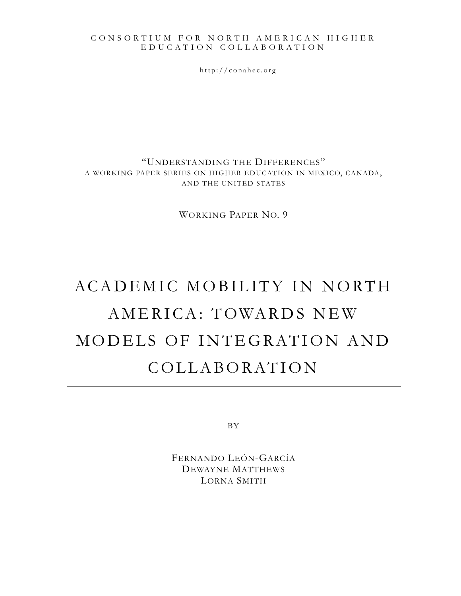#### CONSORTIUM FOR NORTH AMERICAN HIGHER EDUCA T ION C O LLABORA T ION

http://conahec.org

"UNDERSTANDING THE DIFFERENCES" A WORKING PAPER SERIES ON HIGHER EDUCATION IN MEXICO, CANADA, AND THE UNITED STATES

WORKING PAPER NO. 9

# ACADEMIC MOBILITY IN NORTH AMERICA: TOWARDS NEW MODELS OF INTEGRATION AND COLLABORATION

BY

FERNANDO LEÓN-GARCÍA DEWAYNE MATTHEWS LORNA SMITH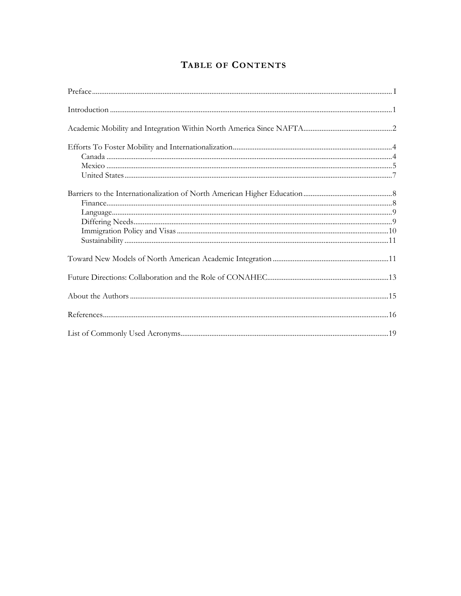## TABLE OF CONTENTS

| $\label{prop:1} \text{Introduction} \begin{minipage}{0.9\linewidth} \text{Introduction} \end{minipage}$ |  |
|---------------------------------------------------------------------------------------------------------|--|
|                                                                                                         |  |
|                                                                                                         |  |
|                                                                                                         |  |
|                                                                                                         |  |
|                                                                                                         |  |
|                                                                                                         |  |
|                                                                                                         |  |
|                                                                                                         |  |
|                                                                                                         |  |
|                                                                                                         |  |
|                                                                                                         |  |
|                                                                                                         |  |
|                                                                                                         |  |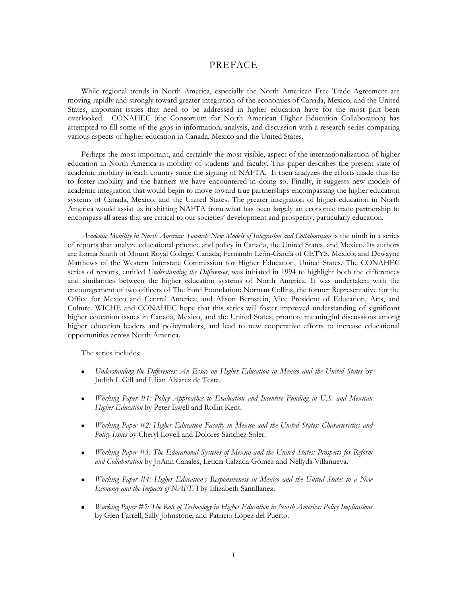#### PREFACE

While regional trends in North America, especially the North American Free Trade Agreement are moving rapidly and strongly toward greater integration of the economies of Canada, Mexico, and the United States, important issues that need to be addressed in higher education have for the most part been overlooked. CONAHEC (the Consortium for North American Higher Education Collaboration) has attempted to fill some of the gaps in information, analysis, and discussion with a research series comparing various aspects of higher education in Canada, Mexico and the United States.

Perhaps the most important, and certainly the most visible, aspect of the internationalization of higher education in North America is mobility of students and faculty. This paper describes the present state of academic mobility in each country since the signing of NAFTA. It then analyzes the efforts made thus far to foster mobility and the barriers we have encountered in doing so. Finally, it suggests new models of academic integration that would begin to move toward true partnerships encompassing the higher education systems of Canada, Mexico, and the United States. The greater integration of higher education in North America would assist us in shifting NAFTA from what has been largely an economic trade partnership to encompass all areas that are critical to our societies' development and prosperity, particularly education.

Academic Mobility in North America: Towards New Models of Integration and Collaboration is the ninth in a series of reports that analyze educational practice and policy in Canada, the United States, and Mexico. Its authors are Lorna Smith of Mount Royal College, Canada; Fernando León-García of CETYS, Mexico; and Dewayne Matthews of the Western Interstate Commission for Higher Education, United States. The CONAHEC series of reports, entitled *Understanding the Differences*, was initiated in 1994 to highlight both the differences and similarities between the higher education systems of North America. It was undertaken with the encouragement of two officers of The Ford Foundation: Norman Collins, the former Representative for the Office for Mexico and Central America; and Alison Bernstein, Vice President of Education, Arts, and Culture. WICHE and CONAHEC hope that this series will foster improved understanding of significant higher education issues in Canada, Mexico, and the United States, promote meaningful discussions among higher education leaders and policymakers, and lead to new cooperative efforts to increase educational opportunities across North America.

The series includes:

- *Understanding the Differences: An Essay on Higher Education in Mexico and the United States* by Judith I. Gill and Lilian Alvarez de Testa.
- *Working Paper #1: Policy Approaches to Evaluation and Incentive Funding in U.S. and Mexican Higher Education* by Peter Ewell and Rollin Kent.
- *Working Paper #2: Higher Education Faculty in Mexico and the United States: Characteristics and Policy Issues* by Cheryl Lovell and Dolores Sánchez Soler.
- *Working Paper #3: The Educational Systems of Mexico and the United States: Prospects for Reform and Collaboration* by JoAnn Canales, Leticia Calzada Gómez and Néllyda Villanueva.
- *Working Paper #4: Higher Education's Responsiveness in Mexico and the United States to a New Economy and the Impacts of NAFTA* by Elizabeth Santillanez.
- *Working Paper #5: The Role of Technology in Higher Education in North America: Policy Implications* by Glen Farrell, Sally Johnstone, and Patricio López del Puerto.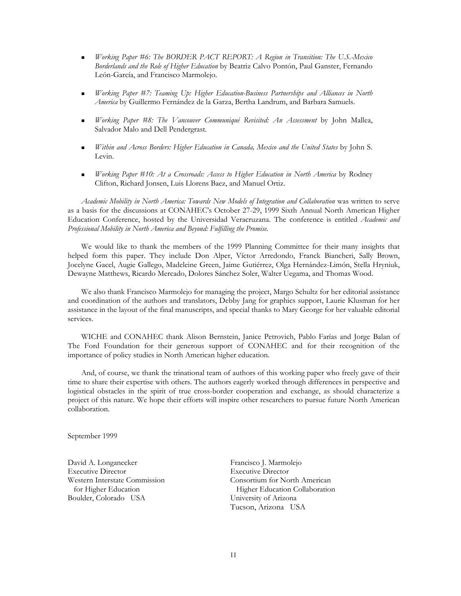- *Working Paper #6: The BORDER PACT REPORT: A Region in Transition: The U.S.-Mexico Borderlands and the Role of Higher Education* by Beatriz Calvo Pontón, Paul Ganster, Fernando León-García, and Francisco Marmolejo.
- *Working Paper #7: Teaming Up: Higher Education-Business Partnerships and Alliances in North America* by Guillermo Fernández de la Garza, Bertha Landrum, and Barbara Samuels.
- *Working Paper #8: The Vancouver Communiqué Revisited: An Assessment* by John Mallea, Salvador Malo and Dell Pendergrast.
- *Within and Across Borders: Higher Education in Canada, Mexico and the United States* by John S. Levin.
- *Working Paper #10: At a Crossroads: Access to Higher Education in North America* by Rodney Clifton, Richard Jonsen, Luis Llorens Baez, and Manuel Ortiz.

*Academic Mobility in North America: Towards New Models of Integration and Collaboration* was written to serve as a basis for the discussions at CONAHEC's October 27-29, 1999 Sixth Annual North American Higher Education Conference, hosted by the Universidad Veracruzana. The conference is entitled *Academic and Professional Mobility in North America and Beyond: Fulfilling the Promise.*

We would like to thank the members of the 1999 Planning Committee for their many insights that helped form this paper. They include Don Alper, Víctor Arredondo, Franck Biancheri, Sally Brown, Jocelyne Gacel, Augie Gallego, Madeleine Green, Jaime Gutiérrez, Olga Hernández-Limón, Stella Hryniuk, Dewayne Matthews, Ricardo Mercado, Dolores Sánchez Soler, Walter Uegama, and Thomas Wood.

We also thank Francisco Marmolejo for managing the project, Margo Schultz for her editorial assistance and coordination of the authors and translators, Debby Jang for graphics support, Laurie Klusman for her assistance in the layout of the final manuscripts, and special thanks to Mary George for her valuable editorial services.

WICHE and CONAHEC thank Alison Bernstein, Janice Petrovich, Pablo Farías and Jorge Balan of The Ford Foundation for their generous support of CONAHEC and for their recognition of the importance of policy studies in North American higher education.

And, of course, we thank the trinational team of authors of this working paper who freely gave of their time to share their expertise with others. The authors eagerly worked through differences in perspective and logistical obstacles in the spirit of true cross-border cooperation and exchange, as should characterize a project of this nature. We hope their efforts will inspire other researchers to pursue future North American collaboration.

September 1999

David A. Longanecker Francisco J. Marmolejo Executive Director Executive Director Boulder, Colorado USA University of Arizona

Western Interstate Commission Consortium for North American for Higher Education **Higher Education** Tucson, Arizona USA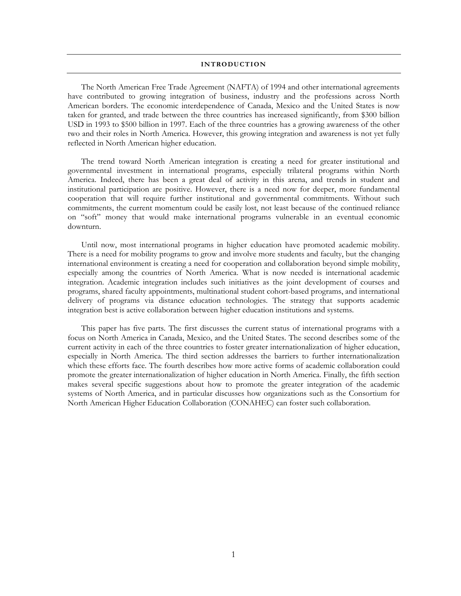#### **INTRODUCTION**

The North American Free Trade Agreement (NAFTA) of 1994 and other international agreements have contributed to growing integration of business, industry and the professions across North American borders. The economic interdependence of Canada, Mexico and the United States is now taken for granted, and trade between the three countries has increased significantly, from \$300 billion USD in 1993 to \$500 billion in 1997. Each of the three countries has a growing awareness of the other two and their roles in North America. However, this growing integration and awareness is not yet fully reflected in North American higher education.

The trend toward North American integration is creating a need for greater institutional and governmental investment in international programs, especially trilateral programs within North America. Indeed, there has been a great deal of activity in this arena, and trends in student and institutional participation are positive. However, there is a need now for deeper, more fundamental cooperation that will require further institutional and governmental commitments. Without such commitments, the current momentum could be easily lost, not least because of the continued reliance on "soft" money that would make international programs vulnerable in an eventual economic downturn.

Until now, most international programs in higher education have promoted academic mobility. There is a need for mobility programs to grow and involve more students and faculty, but the changing international environment is creating a need for cooperation and collaboration beyond simple mobility, especially among the countries of North America. What is now needed is international academic integration. Academic integration includes such initiatives as the joint development of courses and programs, shared faculty appointments, multinational student cohort-based programs, and international delivery of programs via distance education technologies. The strategy that supports academic integration best is active collaboration between higher education institutions and systems.

This paper has five parts. The first discusses the current status of international programs with a focus on North America in Canada, Mexico, and the United States. The second describes some of the current activity in each of the three countries to foster greater internationalization of higher education, especially in North America. The third section addresses the barriers to further internationalization which these efforts face. The fourth describes how more active forms of academic collaboration could promote the greater internationalization of higher education in North America. Finally, the fifth section makes several specific suggestions about how to promote the greater integration of the academic systems of North America, and in particular discusses how organizations such as the Consortium for North American Higher Education Collaboration (CONAHEC) can foster such collaboration.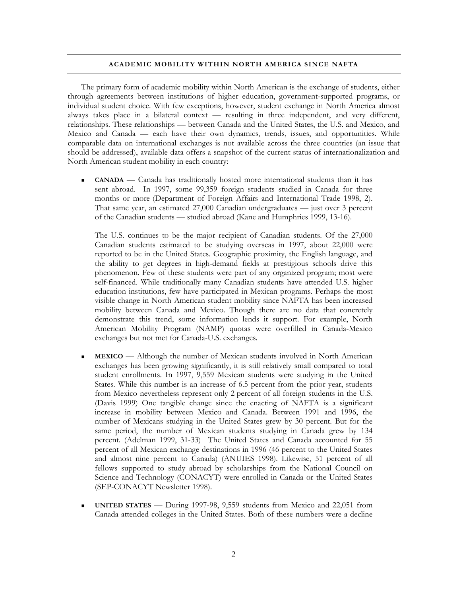#### **ACADEMIC MOBILITY WITHIN NORTH AMERICA SINCE NAFTA**

The primary form of academic mobility within North American is the exchange of students, either through agreements between institutions of higher education, government-supported programs, or individual student choice. With few exceptions, however, student exchange in North America almost always takes place in a bilateral context — resulting in three independent, and very different, relationships. These relationships — between Canada and the United States, the U.S. and Mexico, and Mexico and Canada — each have their own dynamics, trends, issues, and opportunities. While comparable data on international exchanges is not available across the three countries (an issue that should be addressed), available data offers a snapshot of the current status of internationalization and North American student mobility in each country:

 **CANADA** — Canada has traditionally hosted more international students than it has sent abroad. In 1997, some 99,359 foreign students studied in Canada for three months or more (Department of Foreign Affairs and International Trade 1998, 2). That same year, an estimated 27,000 Canadian undergraduates — just over 3 percent of the Canadian students — studied abroad (Kane and Humphries 1999, 13-16).

The U.S. continues to be the major recipient of Canadian students. Of the 27,000 Canadian students estimated to be studying overseas in 1997, about 22,000 were reported to be in the United States. Geographic proximity, the English language, and the ability to get degrees in high-demand fields at prestigious schools drive this phenomenon. Few of these students were part of any organized program; most were self-financed. While traditionally many Canadian students have attended U.S. higher education institutions, few have participated in Mexican programs. Perhaps the most visible change in North American student mobility since NAFTA has been increased mobility between Canada and Mexico. Though there are no data that concretely demonstrate this trend, some information lends it support. For example, North American Mobility Program (NAMP) quotas were overfilled in Canada-Mexico exchanges but not met for Canada-U.S. exchanges.

- **MEXICO** Although the number of Mexican students involved in North American exchanges has been growing significantly, it is still relatively small compared to total student enrollments. In 1997, 9,559 Mexican students were studying in the United States. While this number is an increase of 6.5 percent from the prior year, students from Mexico nevertheless represent only 2 percent of all foreign students in the U.S. (Davis 1999) One tangible change since the enacting of NAFTA is a significant increase in mobility between Mexico and Canada. Between 1991 and 1996, the number of Mexicans studying in the United States grew by 30 percent. But for the same period, the number of Mexican students studying in Canada grew by 134 percent. (Adelman 1999, 31-33) The United States and Canada accounted for 55 percent of all Mexican exchange destinations in 1996 (46 percent to the United States and almost nine percent to Canada) (ANUIES 1998). Likewise, 51 percent of all fellows supported to study abroad by scholarships from the National Council on Science and Technology (CONACYT) were enrolled in Canada or the United States (SEP-CONACYT Newsletter 1998).
- **UNITED STATES** During 1997-98, 9,559 students from Mexico and 22,051 from Canada attended colleges in the United States. Both of these numbers were a decline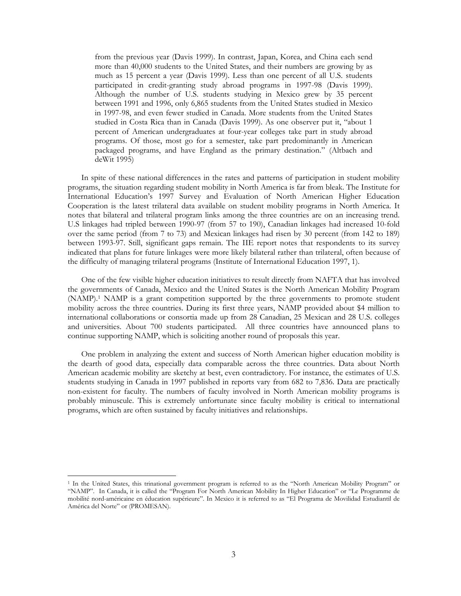from the previous year (Davis 1999). In contrast, Japan, Korea, and China each send more than 40,000 students to the United States, and their numbers are growing by as much as 15 percent a year (Davis 1999). Less than one percent of all U.S. students participated in credit-granting study abroad programs in 1997-98 (Davis 1999). Although the number of U.S. students studying in Mexico grew by 35 percent between 1991 and 1996, only 6,865 students from the United States studied in Mexico in 1997-98, and even fewer studied in Canada. More students from the United States studied in Costa Rica than in Canada (Davis 1999). As one observer put it, "about 1 percent of American undergraduates at four-year colleges take part in study abroad programs. Of those, most go for a semester, take part predominantly in American packaged programs, and have England as the primary destination." (Altbach and deWit 1995)

In spite of these national differences in the rates and patterns of participation in student mobility programs, the situation regarding student mobility in North America is far from bleak. The Institute for International Education's 1997 Survey and Evaluation of North American Higher Education Cooperation is the latest trilateral data available on student mobility programs in North America. It notes that bilateral and trilateral program links among the three countries are on an increasing trend. U.S linkages had tripled between 1990-97 (from 57 to 190), Canadian linkages had increased 10-fold over the same period (from 7 to 73) and Mexican linkages had risen by 30 percent (from 142 to 189) between 1993-97. Still, significant gaps remain. The IIE report notes that respondents to its survey indicated that plans for future linkages were more likely bilateral rather than trilateral, often because of the difficulty of managing trilateral programs (Institute of International Education 1997, 1).

One of the few visible higher education initiatives to result directly from NAFTA that has involved the governments of Canada, Mexico and the United States is the North American Mobility Program (NAMP).[1](#page-8-0) NAMP is a grant competition supported by the three governments to promote student mobility across the three countries. During its first three years, NAMP provided about \$4 million to international collaborations or consortia made up from 28 Canadian, 25 Mexican and 28 U.S. colleges and universities. About 700 students participated. All three countries have announced plans to continue supporting NAMP, which is soliciting another round of proposals this year.

One problem in analyzing the extent and success of North American higher education mobility is the dearth of good data, especially data comparable across the three countries. Data about North American academic mobility are sketchy at best, even contradictory. For instance, the estimates of U.S. students studying in Canada in 1997 published in reports vary from 682 to 7,836. Data are practically non-existent for faculty. The numbers of faculty involved in North American mobility programs is probably minuscule. This is extremely unfortunate since faculty mobility is critical to international programs, which are often sustained by faculty initiatives and relationships.

<span id="page-8-0"></span> <sup>1</sup> In the United States, this trinational government program is referred to as the "North American Mobility Program" or "NAMP". In Canada, it is called the "Program For North American Mobility In Higher Education" or "Le Programme de mobilité nord-américaine en éducation supérieure". In Mexico it is referred to as "El Programa de Movilidad Estudiantil de América del Norte" or (PROMESAN).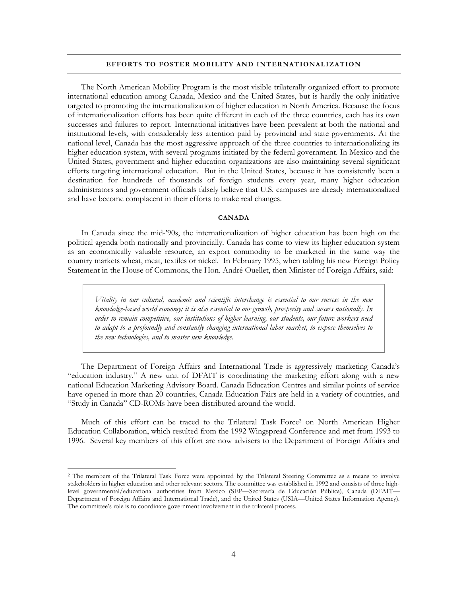#### **EFFORTS TO FOSTER MOBILITY AND INTERNATIONALIZATION**

The North American Mobility Program is the most visible trilaterally organized effort to promote international education among Canada, Mexico and the United States, but is hardly the only initiative targeted to promoting the internationalization of higher education in North America. Because the focus of internationalization efforts has been quite different in each of the three countries, each has its own successes and failures to report. International initiatives have been prevalent at both the national and institutional levels, with considerably less attention paid by provincial and state governments. At the national level, Canada has the most aggressive approach of the three countries to internationalizing its higher education system, with several programs initiated by the federal government. In Mexico and the United States, government and higher education organizations are also maintaining several significant efforts targeting international education. But in the United States, because it has consistently been a destination for hundreds of thousands of foreign students every year, many higher education administrators and government officials falsely believe that U.S. campuses are already internationalized and have become complacent in their efforts to make real changes.

#### **CANADA**

In Canada since the mid-'90s, the internationalization of higher education has been high on the political agenda both nationally and provincially. Canada has come to view its higher education system as an economically valuable resource, an export commodity to be marketed in the same way the country markets wheat, meat, textiles or nickel. In February 1995, when tabling his new Foreign Policy Statement in the House of Commons, the Hon. André Ouellet, then Minister of Foreign Affairs, said:

*Vitality in our cultural, academic and scientific interchange is essential to our success in the new knowledge-based world economy; it is also essential to our growth, prosperity and success nationally. In order to remain competitive, our institutions of higher learning, our students, our future workers need to adapt to a profoundly and constantly changing international labor market, to expose themselves to the new technologies, and to master new knowledge.* 

The Department of Foreign Affairs and International Trade is aggressively marketing Canada's "education industry." A new unit of DFAIT is coordinating the marketing effort along with a new national Education Marketing Advisory Board. Canada Education Centres and similar points of service have opened in more than 20 countries, Canada Education Fairs are held in a variety of countries, and "Study in Canada" CD-ROMs have been distributed around the world.

Much of this effort can be traced to the Trilateral Task Force<sup>2</sup> on North American Higher Education Collaboration, which resulted from the 1992 Wingspread Conference and met from 1993 to 1996. Several key members of this effort are now advisers to the Department of Foreign Affairs and

<span id="page-9-0"></span> <sup>2</sup> The members of the Trilateral Task Force were appointed by the Trilateral Steering Committee as a means to involve stakeholders in higher education and other relevant sectors. The committee was established in 1992 and consists of three highlevel governmental/educational authorities from Mexico (SEP—Secretaría de Educación Pública), Canada (DFAIT— Department of Foreign Affairs and International Trade), and the United States (USIA—United States Information Agency). The committee's role is to coordinate government involvement in the trilateral process.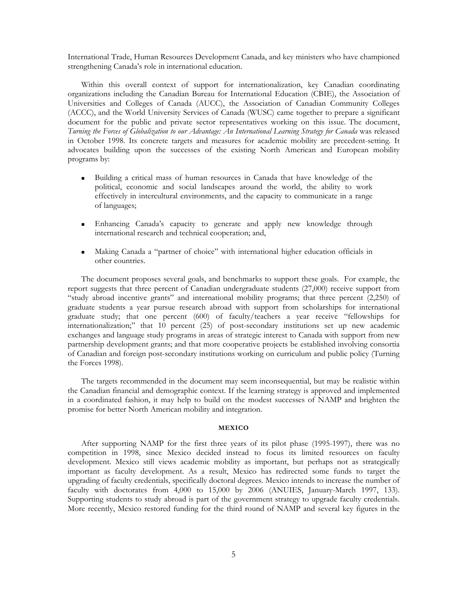International Trade, Human Resources Development Canada, and key ministers who have championed strengthening Canada's role in international education.

Within this overall context of support for internationalization, key Canadian coordinating organizations including the Canadian Bureau for International Education (CBIE), the Association of Universities and Colleges of Canada (AUCC), the Association of Canadian Community Colleges (ACCC), and the World University Services of Canada (WUSC) came together to prepare a significant document for the public and private sector representatives working on this issue. The document, *Turning the Forces of Globalization to our Advantage: An International Learning Strategy for Canada* was released in October 1998. Its concrete targets and measures for academic mobility are precedent-setting. It advocates building upon the successes of the existing North American and European mobility programs by:

- Building a critical mass of human resources in Canada that have knowledge of the political, economic and social landscapes around the world, the ability to work effectively in intercultural environments, and the capacity to communicate in a range of languages;
- Enhancing Canada's capacity to generate and apply new knowledge through international research and technical cooperation; and,
- Making Canada a "partner of choice" with international higher education officials in other countries.

The document proposes several goals, and benchmarks to support these goals. For example, the report suggests that three percent of Canadian undergraduate students (27,000) receive support from "study abroad incentive grants" and international mobility programs; that three percent (2,250) of graduate students a year pursue research abroad with support from scholarships for international graduate study; that one percent (600) of faculty/teachers a year receive "fellowships for internationalization;" that 10 percent (25) of post-secondary institutions set up new academic exchanges and language study programs in areas of strategic interest to Canada with support from new partnership development grants; and that more cooperative projects be established involving consortia of Canadian and foreign post-secondary institutions working on curriculum and public policy (Turning the Forces 1998).

The targets recommended in the document may seem inconsequential, but may be realistic within the Canadian financial and demographic context. If the learning strategy is approved and implemented in a coordinated fashion, it may help to build on the modest successes of NAMP and brighten the promise for better North American mobility and integration.

#### **MEXICO**

After supporting NAMP for the first three years of its pilot phase (1995-1997), there was no competition in 1998, since Mexico decided instead to focus its limited resources on faculty development. Mexico still views academic mobility as important, but perhaps not as strategically important as faculty development. As a result, Mexico has redirected some funds to target the upgrading of faculty credentials, specifically doctoral degrees. Mexico intends to increase the number of faculty with doctorates from 4,000 to 15,000 by 2006 (ANUIES, January-March 1997, 133). Supporting students to study abroad is part of the government strategy to upgrade faculty credentials. More recently, Mexico restored funding for the third round of NAMP and several key figures in the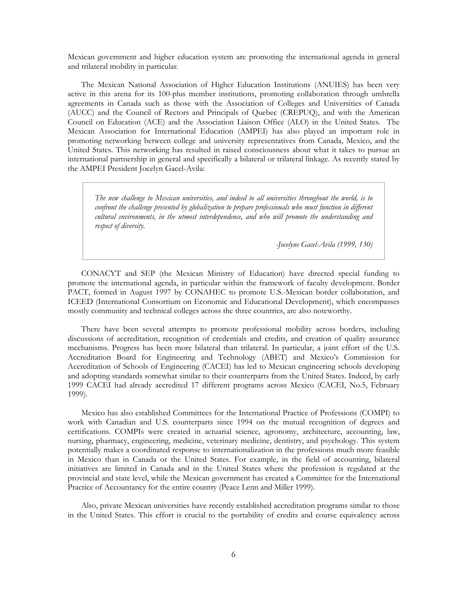Mexican government and higher education system are promoting the international agenda in general and trilateral mobility in particular.

The Mexican National Association of Higher Education Institutions (ANUIES) has been very active in this arena for its 100-plus member institutions, promoting collaboration through umbrella agreements in Canada such as those with the Association of Colleges and Universities of Canada (AUCC) and the Council of Rectors and Principals of Quebec (CREPUQ), and with the American Council on Education (ACE) and the Association Liaison Office (ALO) in the United States. The Mexican Association for International Education (AMPEI) has also played an important role in promoting networking between college and university representatives from Canada, Mexico, and the United States. This networking has resulted in raised consciousness about what it takes to pursue an international partnership in general and specifically a bilateral or trilateral linkage. As recently stated by the AMPEI President Jocelyn Gacel-Avila:

*The new challenge to Mexican universities, and indeed to all universities throughout the world, is to confront the challenge presented by globalization to prepare professionals who must function in different cultural environments, in the utmost interdependence, and who will promote the understanding and respect of diversity.* 

*-Jocelyne Gacel-Avila (1999, 130)* 

CONACYT and SEP (the Mexican Ministry of Education) have directed special funding to promote the international agenda, in particular within the framework of faculty development. Border PACT, formed in August 1997 by CONAHEC to promote U.S.-Mexican border collaboration, and ICEED (International Consortium on Economic and Educational Development), which encompasses mostly community and technical colleges across the three countries, are also noteworthy.

There have been several attempts to promote professional mobility across borders, including discussions of accreditation, recognition of credentials and credits, and creation of quality assurance mechanisms. Progress has been more bilateral than trilateral. In particular, a joint effort of the U.S. Accreditation Board for Engineering and Technology (ABET) and Mexico's Commission for Accreditation of Schools of Engineering (CACEI) has led to Mexican engineering schools developing and adopting standards somewhat similar to their counterparts from the United States. Indeed, by early 1999 CACEI had already accredited 17 different programs across Mexico (CACEI, No.5, February 1999).

Mexico has also established Committees for the International Practice of Professions (COMPI) to work with Canadian and U.S. counterparts since 1994 on the mutual recognition of degrees and certifications. COMPIs were created in actuarial science, agronomy, architecture, accounting, law, nursing, pharmacy, engineering, medicine, veterinary medicine, dentistry, and psychology. This system potentially makes a coordinated response to internationalization in the professions much more feasible in Mexico than in Canada or the United States. For example, in the field of accounting, bilateral initiatives are limited in Canada and in the United States where the profession is regulated at the provincial and state level, while the Mexican government has created a Committee for the International Practice of Accountancy for the entire country (Peace Lenn and Miller 1999).

Also, private Mexican universities have recently established accreditation programs similar to those in the United States. This effort is crucial to the portability of credits and course equivalency across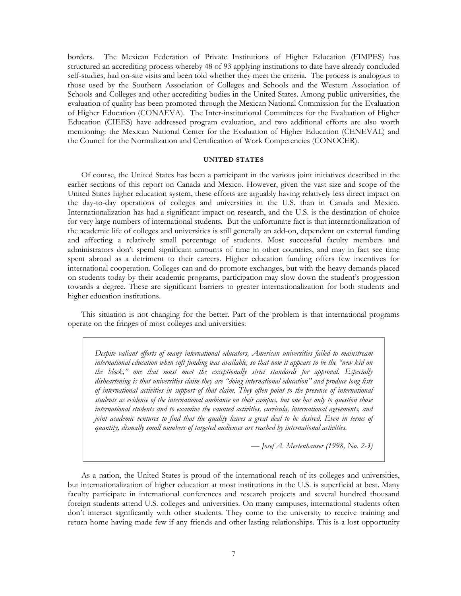borders. The Mexican Federation of Private Institutions of Higher Education (FIMPES) has structured an accrediting process whereby 48 of 93 applying institutions to date have already concluded self-studies, had on-site visits and been told whether they meet the criteria. The process is analogous to those used by the Southern Association of Colleges and Schools and the Western Association of Schools and Colleges and other accrediting bodies in the United States. Among public universities, the evaluation of quality has been promoted through the Mexican National Commission for the Evaluation of Higher Education (CONAEVA). The Inter-institutional Committees for the Evaluation of Higher Education (CIEES) have addressed program evaluation, and two additional efforts are also worth mentioning: the Mexican National Center for the Evaluation of Higher Education (CENEVAL) and the Council for the Normalization and Certification of Work Competencies (CONOCER).

#### **UNITED STATES**

Of course, the United States has been a participant in the various joint initiatives described in the earlier sections of this report on Canada and Mexico. However, given the vast size and scope of the United States higher education system, these efforts are arguably having relatively less direct impact on the day-to-day operations of colleges and universities in the U.S. than in Canada and Mexico. Internationalization has had a significant impact on research, and the U.S. is the destination of choice for very large numbers of international students. But the unfortunate fact is that internationalization of the academic life of colleges and universities is still generally an add-on, dependent on external funding and affecting a relatively small percentage of students. Most successful faculty members and administrators don't spend significant amounts of time in other countries, and may in fact see time spent abroad as a detriment to their careers. Higher education funding offers few incentives for international cooperation. Colleges can and do promote exchanges, but with the heavy demands placed on students today by their academic programs, participation may slow down the student's progression towards a degree. These are significant barriers to greater internationalization for both students and higher education institutions.

This situation is not changing for the better. Part of the problem is that international programs operate on the fringes of most colleges and universities:

*Despite valiant efforts of many international educators, American universities failed to mainstream international education when soft funding was available, so that now it appears to be the "new kid on the block," one that must meet the exceptionally strict standards for approval. Especially disheartening is that universities claim they are "doing international education" and produce long lists of international activities in support of that claim. They often point to the presence of international students as evidence of the international ambiance on their campus, but one has only to question those international students and to examine the vaunted activities, curricula, international agreements, and joint academic ventures to find that the quality leaves a great deal to be desired. Even in terms of quantity, dismally small numbers of targeted audiences are reached by international activities.* 

 *— Josef A. Mestenhauser (1998, No. 2-3)* 

As a nation, the United States is proud of the international reach of its colleges and universities, but internationalization of higher education at most institutions in the U.S. is superficial at best. Many faculty participate in international conferences and research projects and several hundred thousand foreign students attend U.S. colleges and universities. On many campuses, international students often don't interact significantly with other students. They come to the university to receive training and return home having made few if any friends and other lasting relationships. This is a lost opportunity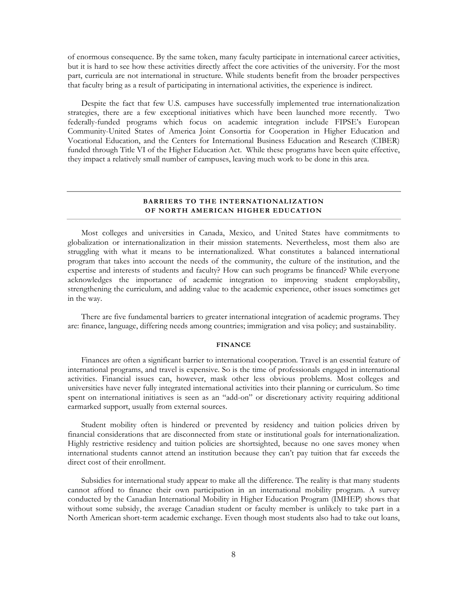of enormous consequence. By the same token, many faculty participate in international career activities, but it is hard to see how these activities directly affect the core activities of the university. For the most part, curricula are not international in structure. While students benefit from the broader perspectives that faculty bring as a result of participating in international activities, the experience is indirect.

Despite the fact that few U.S. campuses have successfully implemented true internationalization strategies, there are a few exceptional initiatives which have been launched more recently. Two federally-funded programs which focus on academic integration include FIPSE's European Community-United States of America Joint Consortia for Cooperation in Higher Education and Vocational Education, and the Centers for International Business Education and Research (CIBER) funded through Title VI of the Higher Education Act. While these programs have been quite effective, they impact a relatively small number of campuses, leaving much work to be done in this area.

#### **BARRIERS TO THE INTERNATIONALIZATION OF NORTH AMERICAN HIGHER EDUCATION**

Most colleges and universities in Canada, Mexico, and United States have commitments to globalization or internationalization in their mission statements. Nevertheless, most them also are struggling with what it means to be internationalized. What constitutes a balanced international program that takes into account the needs of the community, the culture of the institution, and the expertise and interests of students and faculty? How can such programs be financed? While everyone acknowledges the importance of academic integration to improving student employability, strengthening the curriculum, and adding value to the academic experience, other issues sometimes get in the way.

There are five fundamental barriers to greater international integration of academic programs. They are: finance, language, differing needs among countries; immigration and visa policy; and sustainability.

#### **FINANCE**

Finances are often a significant barrier to international cooperation. Travel is an essential feature of international programs, and travel is expensive. So is the time of professionals engaged in international activities. Financial issues can, however, mask other less obvious problems. Most colleges and universities have never fully integrated international activities into their planning or curriculum. So time spent on international initiatives is seen as an "add-on" or discretionary activity requiring additional earmarked support, usually from external sources.

Student mobility often is hindered or prevented by residency and tuition policies driven by financial considerations that are disconnected from state or institutional goals for internationalization. Highly restrictive residency and tuition policies are shortsighted, because no one saves money when international students cannot attend an institution because they can't pay tuition that far exceeds the direct cost of their enrollment.

Subsidies for international study appear to make all the difference. The reality is that many students cannot afford to finance their own participation in an international mobility program. A survey conducted by the Canadian International Mobility in Higher Education Program (IMHEP) shows that without some subsidy, the average Canadian student or faculty member is unlikely to take part in a North American short-term academic exchange. Even though most students also had to take out loans,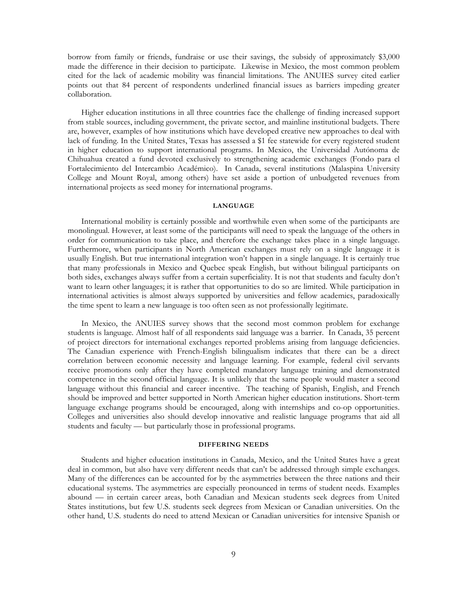borrow from family or friends, fundraise or use their savings, the subsidy of approximately \$3,000 made the difference in their decision to participate. Likewise in Mexico, the most common problem cited for the lack of academic mobility was financial limitations. The ANUIES survey cited earlier points out that 84 percent of respondents underlined financial issues as barriers impeding greater collaboration.

Higher education institutions in all three countries face the challenge of finding increased support from stable sources, including government, the private sector, and mainline institutional budgets. There are, however, examples of how institutions which have developed creative new approaches to deal with lack of funding. In the United States, Texas has assessed a \$1 fee statewide for every registered student in higher education to support international programs. In Mexico, the Universidad Autónoma de Chihuahua created a fund devoted exclusively to strengthening academic exchanges (Fondo para el Fortalecimiento del Intercambio Académico). In Canada, several institutions (Malaspina University College and Mount Royal, among others) have set aside a portion of unbudgeted revenues from international projects as seed money for international programs.

#### **LANGUAGE**

International mobility is certainly possible and worthwhile even when some of the participants are monolingual. However, at least some of the participants will need to speak the language of the others in order for communication to take place, and therefore the exchange takes place in a single language. Furthermore, when participants in North American exchanges must rely on a single language it is usually English. But true international integration won't happen in a single language. It is certainly true that many professionals in Mexico and Quebec speak English, but without bilingual participants on both sides, exchanges always suffer from a certain superficiality. It is not that students and faculty don't want to learn other languages; it is rather that opportunities to do so are limited. While participation in international activities is almost always supported by universities and fellow academics, paradoxically the time spent to learn a new language is too often seen as not professionally legitimate.

In Mexico, the ANUIES survey shows that the second most common problem for exchange students is language. Almost half of all respondents said language was a barrier. In Canada, 35 percent of project directors for international exchanges reported problems arising from language deficiencies. The Canadian experience with French-English bilingualism indicates that there can be a direct correlation between economic necessity and language learning. For example, federal civil servants receive promotions only after they have completed mandatory language training and demonstrated competence in the second official language. It is unlikely that the same people would master a second language without this financial and career incentive. The teaching of Spanish, English, and French should be improved and better supported in North American higher education institutions. Short-term language exchange programs should be encouraged, along with internships and co-op opportunities. Colleges and universities also should develop innovative and realistic language programs that aid all students and faculty — but particularly those in professional programs.

#### **DIFFERING NEEDS**

Students and higher education institutions in Canada, Mexico, and the United States have a great deal in common, but also have very different needs that can't be addressed through simple exchanges. Many of the differences can be accounted for by the asymmetries between the three nations and their educational systems. The asymmetries are especially pronounced in terms of student needs. Examples abound — in certain career areas, both Canadian and Mexican students seek degrees from United States institutions, but few U.S. students seek degrees from Mexican or Canadian universities. On the other hand, U.S. students do need to attend Mexican or Canadian universities for intensive Spanish or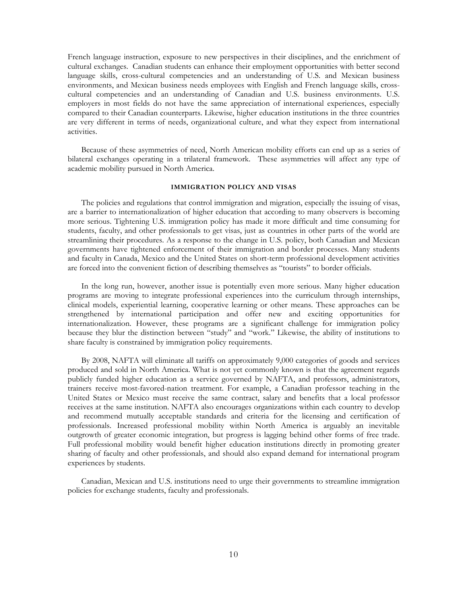French language instruction, exposure to new perspectives in their disciplines, and the enrichment of cultural exchanges. Canadian students can enhance their employment opportunities with better second language skills, cross-cultural competencies and an understanding of U.S. and Mexican business environments, and Mexican business needs employees with English and French language skills, crosscultural competencies and an understanding of Canadian and U.S. business environments. U.S. employers in most fields do not have the same appreciation of international experiences, especially compared to their Canadian counterparts. Likewise, higher education institutions in the three countries are very different in terms of needs, organizational culture, and what they expect from international activities.

Because of these asymmetries of need, North American mobility efforts can end up as a series of bilateral exchanges operating in a trilateral framework. These asymmetries will affect any type of academic mobility pursued in North America.

#### **IMMIGRATION POLICY AND VISAS**

The policies and regulations that control immigration and migration, especially the issuing of visas, are a barrier to internationalization of higher education that according to many observers is becoming more serious. Tightening U.S. immigration policy has made it more difficult and time consuming for students, faculty, and other professionals to get visas, just as countries in other parts of the world are streamlining their procedures. As a response to the change in U.S. policy, both Canadian and Mexican governments have tightened enforcement of their immigration and border processes. Many students and faculty in Canada, Mexico and the United States on short-term professional development activities are forced into the convenient fiction of describing themselves as "tourists" to border officials.

In the long run, however, another issue is potentially even more serious. Many higher education programs are moving to integrate professional experiences into the curriculum through internships, clinical models, experiential learning, cooperative learning or other means. These approaches can be strengthened by international participation and offer new and exciting opportunities for internationalization. However, these programs are a significant challenge for immigration policy because they blur the distinction between "study" and "work." Likewise, the ability of institutions to share faculty is constrained by immigration policy requirements.

By 2008, NAFTA will eliminate all tariffs on approximately 9,000 categories of goods and services produced and sold in North America. What is not yet commonly known is that the agreement regards publicly funded higher education as a service governed by NAFTA, and professors, administrators, trainers receive most-favored-nation treatment. For example, a Canadian professor teaching in the United States or Mexico must receive the same contract, salary and benefits that a local professor receives at the same institution. NAFTA also encourages organizations within each country to develop and recommend mutually acceptable standards and criteria for the licensing and certification of professionals. Increased professional mobility within North America is arguably an inevitable outgrowth of greater economic integration, but progress is lagging behind other forms of free trade. Full professional mobility would benefit higher education institutions directly in promoting greater sharing of faculty and other professionals, and should also expand demand for international program experiences by students.

Canadian, Mexican and U.S. institutions need to urge their governments to streamline immigration policies for exchange students, faculty and professionals.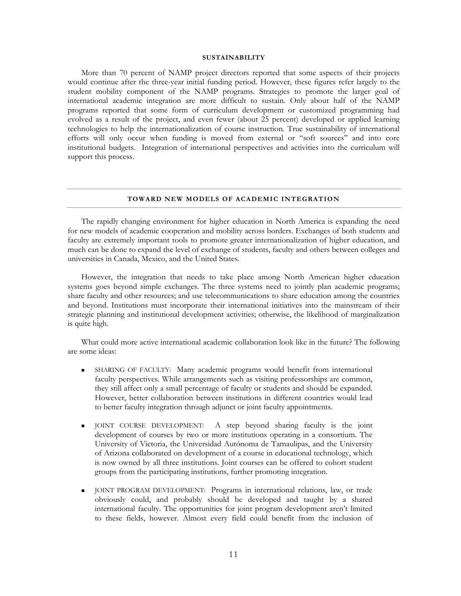#### **SUSTAINABILITY**

More than 70 percent of NAMP project directors reported that some aspects of their projects would continue after the three-year initial funding period. However, these figures refer largely to the student mobility component of the NAMP programs. Strategies to promote the larger goal of international academic integration are more difficult to sustain. Only about half of the NAMP programs reported that some form of curriculum development or customized programming had evolved as a result of the project, and even fewer (about 25 percent) developed or applied learning technologies to help the internationalization of course instruction. True sustainability of international efforts will only occur when funding is moved from external or "soft sources" and into core institutional budgets. Integration of international perspectives and activities into the curriculum will support this process.

#### **TOWARD NEW MODELS OF ACADEMIC INTEGRATION**

The rapidly changing environment for higher education in North America is expanding the need for new models of academic cooperation and mobility across borders. Exchanges of both students and faculty are extremely important tools to promote greater internationalization of higher education, and much can be done to expand the level of exchange of students, faculty and others between colleges and universities in Canada, Mexico, and the United States.

However, the integration that needs to take place among North American higher education systems goes beyond simple exchanges. The three systems need to jointly plan academic programs; share faculty and other resources; and use telecommunications to share education among the countries and beyond. Institutions must incorporate their international initiatives into the mainstream of their strategic planning and institutional development activities; otherwise, the likelihood of marginalization is quite high.

What could more active international academic collaboration look like in the future? The following are some ideas:

- SHARING OF FACULTY: Many academic programs would benefit from international faculty perspectives. While arrangements such as visiting professorships are common, they still affect only a small percentage of faculty or students and should be expanded. However, better collaboration between institutions in different countries would lead to better faculty integration through adjunct or joint faculty appointments.
- JOINT COURSE DEVELOPMENT: A step beyond sharing faculty is the joint development of courses by two or more institutions operating in a consortium. The University of Victoria, the Universidad Autónoma de Tamaulipas, and the University of Arizona collaborated on development of a course in educational technology, which is now owned by all three institutions. Joint courses can be offered to cohort student groups from the participating institutions, further promoting integration.
- JOINT PROGRAM DEVELOPMENT: Programs in international relations, law, or trade obviously could, and probably should be developed and taught by a shared international faculty. The opportunities for joint program development aren't limited to these fields, however. Almost every field could benefit from the inclusion of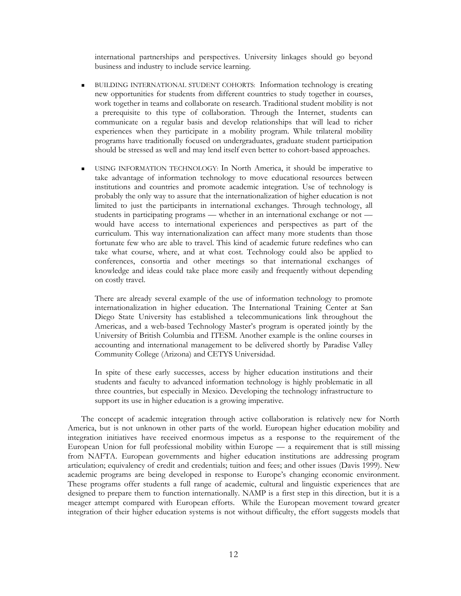international partnerships and perspectives. University linkages should go beyond business and industry to include service learning.

- BUILDING INTERNATIONAL STUDENT COHORTS: Information technology is creating new opportunities for students from different countries to study together in courses, work together in teams and collaborate on research. Traditional student mobility is not a prerequisite to this type of collaboration. Through the Internet, students can communicate on a regular basis and develop relationships that will lead to richer experiences when they participate in a mobility program. While trilateral mobility programs have traditionally focused on undergraduates, graduate student participation should be stressed as well and may lend itself even better to cohort-based approaches.
- USING INFORMATION TECHNOLOGY: In North America, it should be imperative to take advantage of information technology to move educational resources between institutions and countries and promote academic integration. Use of technology is probably the only way to assure that the internationalization of higher education is not limited to just the participants in international exchanges. Through technology, all students in participating programs — whether in an international exchange or not would have access to international experiences and perspectives as part of the curriculum. This way internationalization can affect many more students than those fortunate few who are able to travel. This kind of academic future redefines who can take what course, where, and at what cost. Technology could also be applied to conferences, consortia and other meetings so that international exchanges of knowledge and ideas could take place more easily and frequently without depending on costly travel.

There are already several example of the use of information technology to promote internationalization in higher education. The International Training Center at San Diego State University has established a telecommunications link throughout the Americas, and a web-based Technology Master's program is operated jointly by the University of British Columbia and ITESM. Another example is the online courses in accounting and international management to be delivered shortly by Paradise Valley Community College (Arizona) and CETYS Universidad.

In spite of these early successes, access by higher education institutions and their students and faculty to advanced information technology is highly problematic in all three countries, but especially in Mexico. Developing the technology infrastructure to support its use in higher education is a growing imperative.

The concept of academic integration through active collaboration is relatively new for North America, but is not unknown in other parts of the world. European higher education mobility and integration initiatives have received enormous impetus as a response to the requirement of the European Union for full professional mobility within Europe — a requirement that is still missing from NAFTA. European governments and higher education institutions are addressing program articulation; equivalency of credit and credentials; tuition and fees; and other issues (Davis 1999). New academic programs are being developed in response to Europe's changing economic environment. These programs offer students a full range of academic, cultural and linguistic experiences that are designed to prepare them to function internationally. NAMP is a first step in this direction, but it is a meager attempt compared with European efforts. While the European movement toward greater integration of their higher education systems is not without difficulty, the effort suggests models that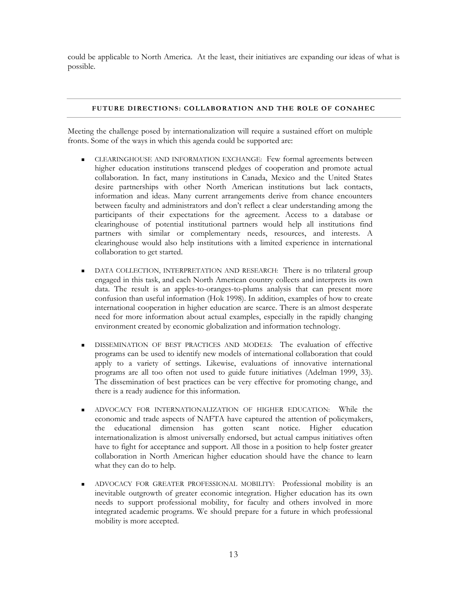could be applicable to North America. At the least, their initiatives are expanding our ideas of what is possible.

#### **FUTURE DIRECTIONS: COLLABORATION AND THE ROLE OF CONAHEC**

Meeting the challenge posed by internationalization will require a sustained effort on multiple fronts. Some of the ways in which this agenda could be supported are:

- CLEARINGHOUSE AND INFORMATION EXCHANGE: Few formal agreements between higher education institutions transcend pledges of cooperation and promote actual collaboration. In fact, many institutions in Canada, Mexico and the United States desire partnerships with other North American institutions but lack contacts, information and ideas. Many current arrangements derive from chance encounters between faculty and administrators and don't reflect a clear understanding among the participants of their expectations for the agreement. Access to a database or clearinghouse of potential institutional partners would help all institutions find partners with similar or complementary needs, resources, and interests. A clearinghouse would also help institutions with a limited experience in international collaboration to get started.
- DATA COLLECTION, INTERPRETATION AND RESEARCH: There is no trilateral group engaged in this task, and each North American country collects and interprets its own data. The result is an apples-to-oranges-to-plums analysis that can present more confusion than useful information (Hok 1998). In addition, examples of how to create international cooperation in higher education are scarce. There is an almost desperate need for more information about actual examples, especially in the rapidly changing environment created by economic globalization and information technology.
- DISSEMINATION OF BEST PRACTICES AND MODELS: The evaluation of effective programs can be used to identify new models of international collaboration that could apply to a variety of settings. Likewise, evaluations of innovative international programs are all too often not used to guide future initiatives (Adelman 1999, 33). The dissemination of best practices can be very effective for promoting change, and there is a ready audience for this information.
- ADVOCACY FOR INTERNATIONALIZATION OF HIGHER EDUCATION: While the economic and trade aspects of NAFTA have captured the attention of policymakers, the educational dimension has gotten scant notice. Higher education internationalization is almost universally endorsed, but actual campus initiatives often have to fight for acceptance and support. All those in a position to help foster greater collaboration in North American higher education should have the chance to learn what they can do to help.
- ADVOCACY FOR GREATER PROFESSIONAL MOBILITY: Professional mobility is an inevitable outgrowth of greater economic integration. Higher education has its own needs to support professional mobility, for faculty and others involved in more integrated academic programs. We should prepare for a future in which professional mobility is more accepted.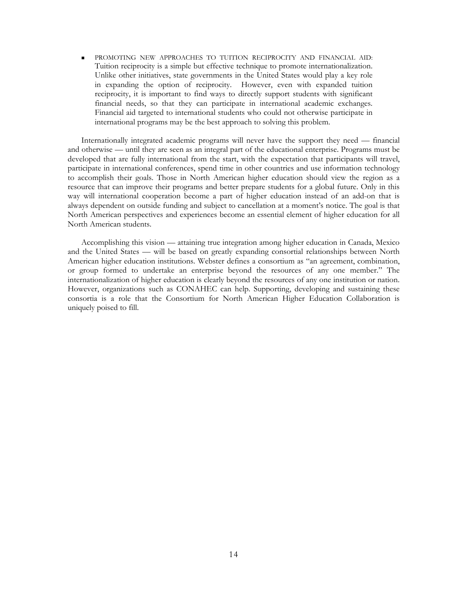PROMOTING NEW APPROACHES TO TUITION RECIPROCITY AND FINANCIAL AID: Tuition reciprocity is a simple but effective technique to promote internationalization. Unlike other initiatives, state governments in the United States would play a key role in expanding the option of reciprocity. However, even with expanded tuition reciprocity, it is important to find ways to directly support students with significant financial needs, so that they can participate in international academic exchanges. Financial aid targeted to international students who could not otherwise participate in international programs may be the best approach to solving this problem.

Internationally integrated academic programs will never have the support they need — financial and otherwise — until they are seen as an integral part of the educational enterprise. Programs must be developed that are fully international from the start, with the expectation that participants will travel, participate in international conferences, spend time in other countries and use information technology to accomplish their goals. Those in North American higher education should view the region as a resource that can improve their programs and better prepare students for a global future. Only in this way will international cooperation become a part of higher education instead of an add-on that is always dependent on outside funding and subject to cancellation at a moment's notice. The goal is that North American perspectives and experiences become an essential element of higher education for all North American students.

Accomplishing this vision — attaining true integration among higher education in Canada, Mexico and the United States — will be based on greatly expanding consortial relationships between North American higher education institutions. Webster defines a consortium as "an agreement, combination, or group formed to undertake an enterprise beyond the resources of any one member." The internationalization of higher education is clearly beyond the resources of any one institution or nation. However, organizations such as CONAHEC can help. Supporting, developing and sustaining these consortia is a role that the Consortium for North American Higher Education Collaboration is uniquely poised to fill.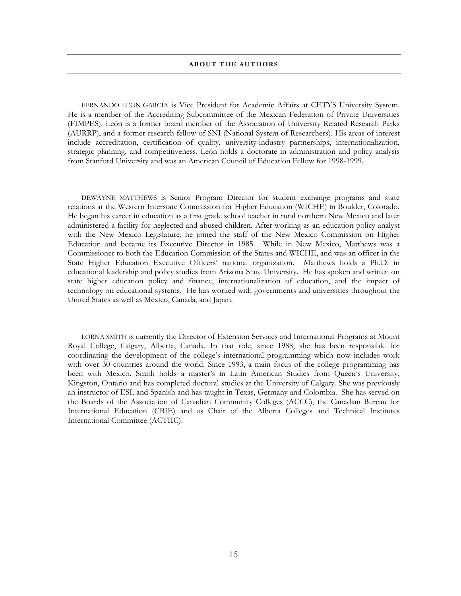#### **ABOUT THE AUTHORS**

FERNANDO LEÓN-GARCIA is Vice President for Academic Affairs at CETYS University System. He is a member of the Accrediting Subcommittee of the Mexican Federation of Private Universities (FIMPES). León is a former board member of the Association of University Related Research Parks (AURRP), and a former research fellow of SNI (National System of Researchers). His areas of interest include accreditation, certification of quality, university-industry partnerships, internationalization, strategic planning, and competitiveness. León holds a doctorate in administration and policy analysis from Stanford University and was an American Council of Education Fellow for 1998-1999.

DEWAYNE MATTHEWS is Senior Program Director for student exchange programs and state relations at the Western Interstate Commission for Higher Education (WICHE) in Boulder, Colorado. He began his career in education as a first grade school teacher in rural northern New Mexico and later administered a facility for neglected and abused children. After working as an education policy analyst with the New Mexico Legislature, he joined the staff of the New Mexico Commission on Higher Education and became its Executive Director in 1985. While in New Mexico, Matthews was a Commissioner to both the Education Commission of the States and WICHE, and was an officer in the State Higher Education Executive Officers' national organization. Matthews holds a Ph.D. in educational leadership and policy studies from Arizona State University. He has spoken and written on state higher education policy and finance, internationalization of education, and the impact of technology on educational systems. He has worked with governments and universities throughout the United States as well as Mexico, Canada, and Japan.

LORNA SMITH is currently the Director of Extension Services and International Programs at Mount Royal College, Calgary, Alberta, Canada. In that role, since 1988, she has been responsible for coordinating the development of the college's international programming which now includes work with over 30 countries around the world. Since 1993, a main focus of the college programming has been with Mexico. Smith holds a master's in Latin American Studies from Queen's University, Kingston, Ontario and has completed doctoral studies at the University of Calgary. She was previously an instructor of ESL and Spanish and has taught in Texas, Germany and Colombia. She has served on the Boards of the Association of Canadian Community Colleges (ACCC), the Canadian Bureau for International Education (CBIE) and as Chair of the Alberta Colleges and Technical Institutes International Committee (ACTIIC).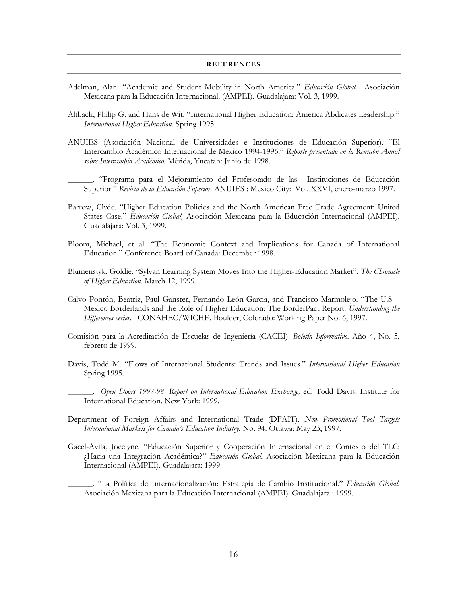#### **REFERENCES**

- Adelman, Alan. "Academic and Student Mobility in North America." *Educación Global*. Asociación Mexicana para la Educación Internacional. (AMPEI). Guadalajara: Vol. 3, 1999.
- Altbach, Philip G. and Hans de Wit. "International Higher Education: America Abdicates Leadership." *International Higher Education.* Spring 1995.
- ANUIES (Asociación Nacional de Universidades e Instituciones de Educación Superior). "El Intercambio Académico Internacional de México 1994-1996." *Reporte presentado en la Reunión Anual sobre Intercambio Académico.* Mérida, Yucatán: Junio de 1998.

\_\_\_\_\_\_. "Programa para el Mejoramiento del Profesorado de las Instituciones de Educación Superior." *Revista de la Educación Superior.* ANUIES : Mexico City: Vol. XXVI, enero-marzo 1997.

- Barrow, Clyde. "Higher Education Policies and the North American Free Trade Agreement: United States Case." *Educación Global,* Asociación Mexicana para la Educación Internacional (AMPEI). Guadalajara: Vol. 3, 1999.
- Bloom, Michael, et al. "The Economic Context and Implications for Canada of International Education." Conference Board of Canada: December 1998.
- Blumenstyk, Goldie. "Sylvan Learning System Moves Into the Higher-Education Market". *The Chronicle of Higher Education.* March 12, 1999.
- Calvo Pontón, Beatriz, Paul Ganster, Fernando León-Garcia, and Francisco Marmolejo. "The U.S. Mexico Borderlands and the Role of Higher Education: The BorderPact Report. *Understanding the Differences series.* CONAHEC/WICHE. Boulder, Colorado: Working Paper No. 6, 1997.
- Comisión para la Acreditación de Escuelas de Ingeniería (CACEI). *Boletín Informativo.* Año 4, No. 5, febrero de 1999.
- Davis, Todd M. "Flows of International Students: Trends and Issues." *International Higher Education* Spring 1995.

\_\_\_\_\_\_. *Open Doors 1997-98, Report on International Education Exchange,* ed. Todd Davis. Institute for International Education. New York: 1999.

- Department of Foreign Affairs and International Trade (DFAIT). *New Promotional Tool Targets International Markets for Canada's Education Industry.* No. 94. Ottawa: May 23, 1997.
- Gacel-Avila, Jocelyne. "Educación Superior y Cooperación Internacional en el Contexto del TLC: ¿Hacia una Integración Académica?" *Educación Global*. Asociación Mexicana para la Educación Internacional (AMPEI). Guadalajara: 1999.

\_\_\_\_\_\_. "La Política de Internacionalización: Estrategia de Cambio Institucional." *Educación Global*. Asociación Mexicana para la Educación Internacional (AMPEI). Guadalajara : 1999.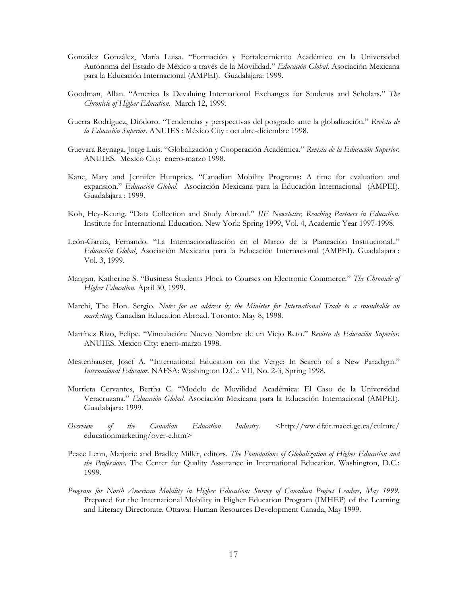- González González, María Luisa. "Formación y Fortalecimiento Académico en la Universidad Autónoma del Estado de México a través de la Movilidad." *Educación Global*. Asociación Mexicana para la Educación Internacional (AMPEI). Guadalajara: 1999.
- Goodman, Allan. "America Is Devaluing International Exchanges for Students and Scholars." *The Chronicle of Higher Education.* March 12, 1999.
- Guerra Rodríguez, Diódoro. "Tendencias y perspectivas del posgrado ante la globalización." *Revista de la Educación Superior*. ANUIES : México City : octubre-diciembre 1998.
- Guevara Reynaga, Jorge Luis. "Globalización y Cooperación Académica." *Revista de la Educación Superior*. ANUIES. Mexico City: enero-marzo 1998.
- Kane, Mary and Jennifer Humpries. "Canadian Mobility Programs: A time for evaluation and expansion." *Educación Global.* Asociación Mexicana para la Educación Internacional (AMPEI). Guadalajara : 1999.
- Koh, Hey-Keung. "Data Collection and Study Abroad." *IIE Newsletter, Reaching Partners in Education.* Institute for International Education. New York: Spring 1999, Vol. 4, Academic Year 1997-1998.
- León-García, Fernando. "La Internacionalización en el Marco de la Planeación Institucional.." *Educación Global*, Asociación Mexicana para la Educación Internacional (AMPEI). Guadalajara : Vol. 3, 1999.
- Mangan, Katherine S. "Business Students Flock to Courses on Electronic Commerce." *The Chronicle of Higher Education*. April 30, 1999.
- Marchi, The Hon. Sergio. *Notes for an address by the Minister for International Trade to a roundtable on marketing.* Canadian Education Abroad. Toronto: May 8, 1998.
- Martínez Rizo, Felipe. "Vinculación: Nuevo Nombre de un Viejo Reto." *Revista de Educación Superior.* ANUIES. Mexico City: enero-marzo 1998.
- Mestenhauser, Josef A. "International Education on the Verge: In Search of a New Paradigm." *International Educator.* NAFSA: Washington D.C.: VII, No. 2-3, Spring 1998.
- Murrieta Cervantes, Bertha C. "Modelo de Movilidad Académica: El Caso de la Universidad Veracruzana." *Educación Global*. Asociación Mexicana para la Educación Internacional (AMPEI). Guadalajara: 1999.
- *Overview of the Canadian Education Industry.* <http://ww.dfait.maeci.gc.ca/culture/ educationmarketing/over-e.htm>
- Peace Lenn, Marjorie and Bradley Miller, editors. *The Foundations of Globalization of Higher Education and the Professions.* The Center for Quality Assurance in International Education. Washington, D.C.: 1999.
- *Program for North American Mobility in Higher Education: Survey of Canadian Project Leaders, May 1999.* Prepared for the International Mobility in Higher Education Program (IMHEP) of the Learning and Literacy Directorate. Ottawa: Human Resources Development Canada, May 1999.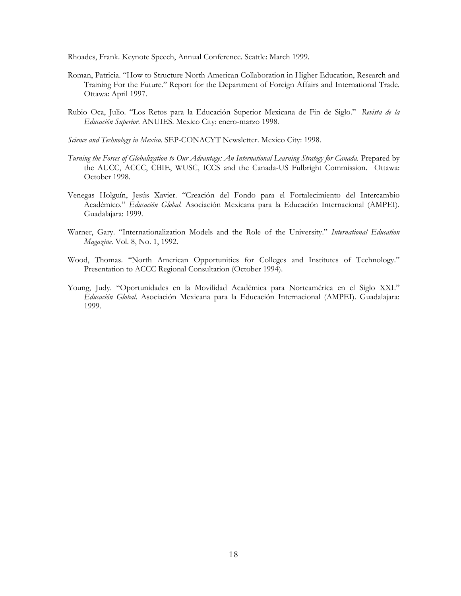Rhoades, Frank. Keynote Speech, Annual Conference. Seattle: March 1999.

- Roman, Patricia. "How to Structure North American Collaboration in Higher Education, Research and Training For the Future." Report for the Department of Foreign Affairs and International Trade. Ottawa: April 1997.
- Rubio Oca, Julio. "Los Retos para la Educación Superior Mexicana de Fin de Siglo." *Revista de la Educación Superior*. ANUIES. Mexico City: enero-marzo 1998.
- *Science and Technology in Mexico*. SEP-CONACYT Newsletter. Mexico City: 1998.
- *Turning the Forces of Globalization to Our Advantage: An International Learning Strategy for Canada.* Prepared by the AUCC, ACCC, CBIE, WUSC, ICCS and the Canada-US Fulbright Commission. Ottawa: October 1998.
- Venegas Holguín, Jesús Xavier. "Creación del Fondo para el Fortalecimiento del Intercambio Académico." *Educación Global.* Asociación Mexicana para la Educación Internacional (AMPEI). Guadalajara: 1999.
- Warner, Gary. "Internationalization Models and the Role of the University." *International Education Magazine*. Vol. 8, No. 1, 1992.
- Wood, Thomas. "North American Opportunities for Colleges and Institutes of Technology." Presentation to ACCC Regional Consultation (October 1994).
- Young, Judy. "Oportunidades en la Movilidad Académica para Norteamérica en el Siglo XXI." *Educación Global*. Asociación Mexicana para la Educación Internacional (AMPEI). Guadalajara: 1999.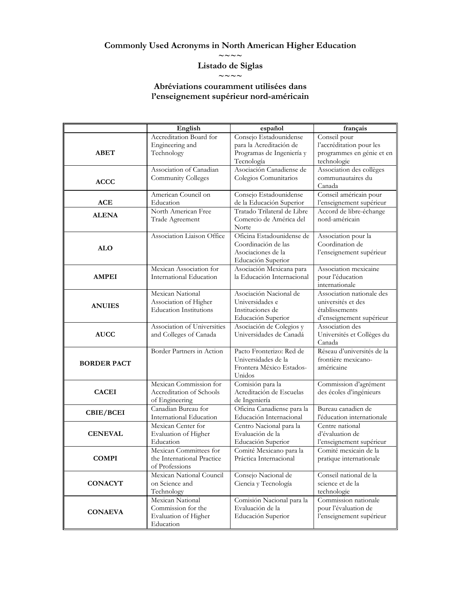## **Commonly Used Acronyms in North American Higher Education**

**~~~~** 

#### **Listado de Siglas**   $\sim\sim\sim\sim$

### **Abréviations couramment utilisées dans l'enseignement supérieur nord-américain**

|                    | English                                                                     | español                                                                                      | français                                                                                      |
|--------------------|-----------------------------------------------------------------------------|----------------------------------------------------------------------------------------------|-----------------------------------------------------------------------------------------------|
| <b>ABET</b>        | Accreditation Board for<br>Engineering and<br>Technology                    | Consejo Estadounidense<br>para la Acreditación de<br>Programas de Ingeniería y<br>Tecnología | Conseil pour<br>l'accréditation pour les<br>programmes en génie et en<br>technologie          |
| <b>ACCC</b>        | Association of Canadian<br>Community Colleges                               | Asociación Canadiense de<br>Colegios Comunitarios                                            | Association des collèges<br>communautaires du<br>Canada                                       |
| <b>ACE</b>         | American Council on<br>Education                                            | Consejo Estadounidense<br>de la Educación Superior                                           | Conseil américain pour<br>l'enseignement supérieur                                            |
| <b>ALENA</b>       | North American Free<br>Trade Agreement                                      | Tratado Trilateral de Libre<br>Comercio de América del<br>Norte                              | Accord de libre-échange<br>nord-américain                                                     |
| <b>ALO</b>         | Association Liaison Office                                                  | Oficina Estadounidense de<br>Coordinación de las<br>Asociaciones de la<br>Educación Superior | Association pour la<br>Coordination de<br>l'enseignement supérieur                            |
| <b>AMPEI</b>       | Mexican Association for<br>International Education                          | Asociación Mexicana para<br>la Educación Internacional                                       | Association mexicaine<br>pour l'éducation<br>internationale                                   |
| <b>ANUIES</b>      | Mexican National<br>Association of Higher<br><b>Education Institutions</b>  | Asociación Nacional de<br>Universidades e<br>Instituciones de<br>Educación Superior          | Association nationale des<br>universités et des<br>établissements<br>d'enseignement supérieur |
| <b>AUCC</b>        | Association of Universities<br>and Colleges of Canada                       | Asociación de Colegios y<br>Universidades de Canadá                                          | Association des<br>Universités et Collèges du<br>Canada                                       |
| <b>BORDER PACT</b> | Border Partners in Action                                                   | Pacto Fronterizo: Red de<br>Universidades de la<br>Frontera México Estados-<br>Unidos        | Réseau d'universités de la<br>frontière mexicano-<br>américaine                               |
| <b>CACEI</b>       | Mexican Commission for<br>Accreditation of Schools<br>of Engineering        | Comisión para la<br>Acreditación de Escuelas<br>de Ingeniería                                | Commission d'agrément<br>des écoles d'ingénieurs                                              |
| CBIE/BCEI          | Canadian Bureau for<br>International Education                              | Oficina Canadiense para la<br>Educación Internacional                                        | Bureau canadien de<br>l'éducation internationale                                              |
| <b>CENEVAL</b>     | Mexican Center for<br>Evaluation of Higher<br>Education                     | Centro Nacional para la<br>Evaluación de la<br>Educación Superior                            | Centre national<br>d'évaluation de<br>l'enseignement supérieur                                |
| <b>COMPI</b>       | Mexican Committees for<br>the International Practice<br>of Professions      | Comité Mexicano para la<br>Práctica Internacional                                            | Comité mexicain de la<br>pratique internationale                                              |
| <b>CONACYT</b>     | Mexican National Council<br>on Science and<br>Technology                    | Consejo Nacional de<br>Ciencia y Tecnología                                                  | Conseil national de la<br>science et de la<br>technologie                                     |
| <b>CONAEVA</b>     | Mexican National<br>Commission for the<br>Evaluation of Higher<br>Education | Comisión Nacional para la<br>Evaluación de la<br>Educación Superior                          | Commission nationale<br>pour l'évaluation de<br>l'enseignement supérieur                      |